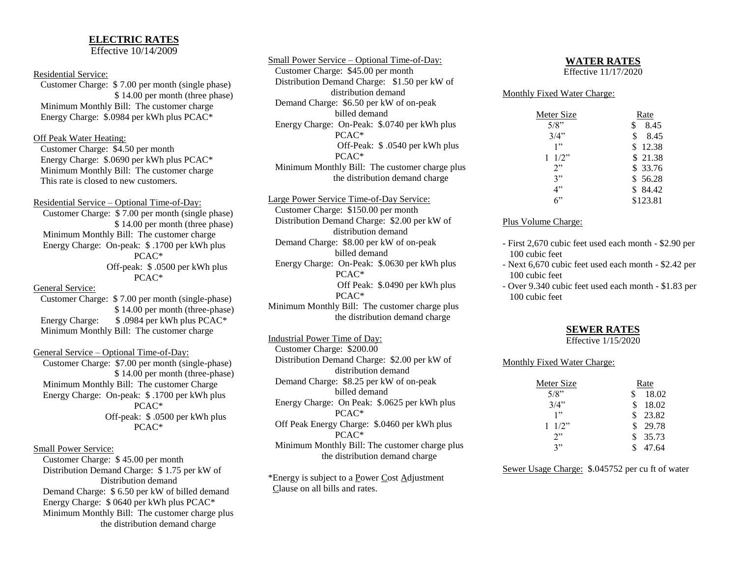## **ELECTRIC RATES**

Effective 10/14/2009

#### Residential Service:

 Customer Charge: \$ 7.00 per month (single phase) \$ 14.00 per month (three phase) Minimum Monthly Bill: The customer charge Energy Charge: \$.0984 per kWh plus PCAC\*

#### Off Peak Water Heating:

 Customer Charge: \$4.50 per month Energy Charge: \$.0690 per kWh plus PCAC\* Minimum Monthly Bill: The customer charge This rate is closed to new customers.

Residential Service – Optional Time-of-Day: Customer Charge: \$ 7.00 per month (single phase) \$ 14.00 per month (three phase) Minimum Monthly Bill: The customer charge Energy Charge: On-peak: \$ .1700 per kWh plus PCAC\* Off-peak: \$ .0500 per kWh plus PCAC\* General Service: Customer Charge: \$ 7.00 per month (single-phase) \$ 14.00 per month (three-phase) Energy Charge: \$.0984 per kWh plus PCAC\* Minimum Monthly Bill: The customer charge

### General Service – Optional Time-of-Day:

 Customer Charge: \$7.00 per month (single-phase) \$ 14.00 per month (three-phase) Minimum Monthly Bill: The customer Charge Energy Charge: On-peak: \$ .1700 per kWh plus PCAC\* Off-peak: \$ .0500 per kWh plus PCAC\*

### Small Power Service:

 Customer Charge: \$ 45.00 per month Distribution Demand Charge: \$ 1.75 per kW of Distribution demand Demand Charge: \$ 6.50 per kW of billed demand Energy Charge: \$ 0640 per kWh plus PCAC\* Minimum Monthly Bill: The customer charge plus the distribution demand charge

Small Power Service – Optional Time-of-Day: Customer Charge: \$45.00 per month Distribution Demand Charge: \$1.50 per kW of distribution demand Demand Charge: \$6.50 per kW of on-peak billed demand Energy Charge: On-Peak: \$.0740 per kWh plus PCAC\* Off-Peak: \$ .0540 per kWh plus PCAC\* Minimum Monthly Bill: The customer charge plus the distribution demand charge

Large Power Service Time-of-Day Service: Customer Charge: \$150.00 per month Distribution Demand Charge: \$2.00 per kW of distribution demand Demand Charge: \$8.00 per kW of on-peak billed demand Energy Charge: On-Peak: \$.0630 per kWh plus PCAC\* Off Peak: \$.0490 per kWh plus PCAC\* Minimum Monthly Bill: The customer charge plus the distribution demand charge

Industrial Power Time of Day: Customer Charge: \$200.00 Distribution Demand Charge: \$2.00 per kW of distribution demand Demand Charge: \$8.25 per kW of on-peak billed demand Energy Charge: On Peak: \$.0625 per kWh plus PCAC\* Off Peak Energy Charge: \$.0460 per kWh plus PCAC\* Minimum Monthly Bill: The customer charge plus the distribution demand charge

\*Energy is subject to a Power Cost Adjustment Clause on all bills and rates.

#### **WATER RATES**

Effective 11/17/2020

### Monthly Fixed Water Charge:

| Meter Size | <b>Rate</b> |
|------------|-------------|
| $5/8$ "    | 8.45<br>\$  |
| 3/4"       | \$<br>8.45  |
| 1"         | 12.38       |
| $1/2$ "    | \$21.38     |
| 2"         | \$33.76     |
| 3"         | \$56.28     |
| 4"         | 84.42       |
| 6"         | \$123.81    |

#### Plus Volume Charge:

- First 2,670 cubic feet used each month \$2.90 per 100 cubic feet
- Next 6,670 cubic feet used each month \$2.42 per 100 cubic feet
- Over 9.340 cubic feet used each month \$1.83 per 100 cubic feet

### **SEWER RATES**

Effective 1/15/2020

#### Monthly Fixed Water Charge:

| Meter Size      | Rate        |
|-----------------|-------------|
| $5/8$ "         | 18.02       |
| 3/4"            | 18.02       |
| 1"              | 23.82       |
| $1 \frac{1}{2}$ | \$<br>29.78 |
| 2"              | \$35.73     |
| 3"              | 47.64       |

Sewer Usage Charge: \$.045752 per cu ft of water